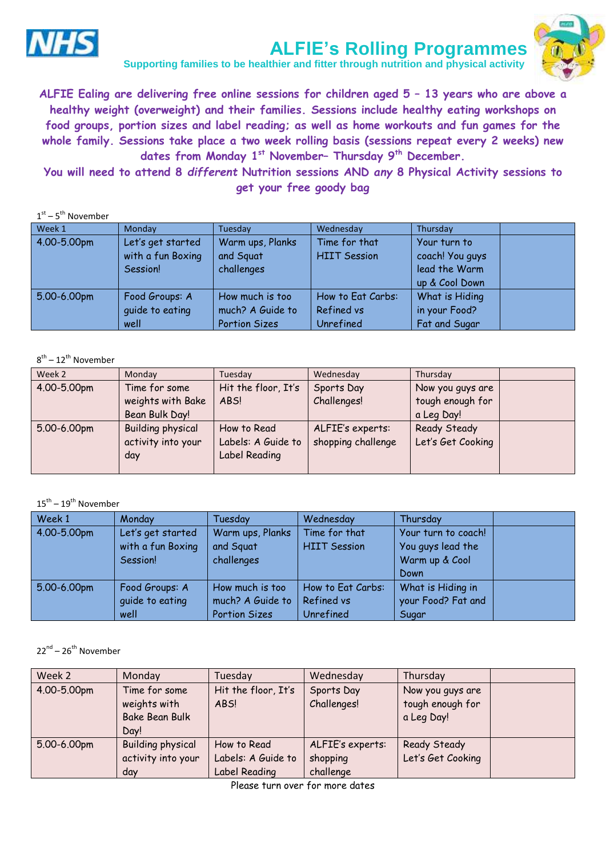

# **ALFIE's Rolling Programmes Supporting families to be healthier and fitter through nutrition and physical activity**

**ALFIE Ealing are delivering free online sessions for children aged 5 – 13 years who are above a** 

**healthy weight (overweight) and their families. Sessions include healthy eating workshops on food groups, portion sizes and label reading; as well as home workouts and fun games for the whole family. Sessions take place a two week rolling basis (sessions repeat every 2 weeks) new dates from Monday 1 st November– Thursday 9th December.**

**You will need to attend 8** *different* **Nutrition sessions AND** *any* **8 Physical Activity sessions to get your free goody bag**

| $1st - 5th$ November |                   |                      |                     |                 |  |
|----------------------|-------------------|----------------------|---------------------|-----------------|--|
| Week 1               | Monday            | Tuesday              | Wednesday           | Thursday        |  |
| 4.00-5.00pm          | Let's get started | Warm ups, Planks     | Time for that       | Your turn to    |  |
|                      | with a fun Boxing | and Squat            | <b>HIIT Session</b> | coach! You guys |  |
|                      | Session!          | challenges           |                     | lead the Warm   |  |
|                      |                   |                      |                     | up & Cool Down  |  |
| 5.00-6.00pm          | Food Groups: A    | How much is too      | How to Eat Carbs:   | What is Hiding  |  |
|                      | quide to eating   | much? A Guide to     | Refined vs          | in your Food?   |  |
|                      | well              | <b>Portion Sizes</b> | Unrefined           | Fat and Sugar   |  |

#### 8<sup>th</sup> – 12<sup>th</sup> November

| Week 2      | Monday                   | Tuesday             | Wednesday          | Thursday          |  |
|-------------|--------------------------|---------------------|--------------------|-------------------|--|
| 4.00-5.00pm | Time for some            | Hit the floor, It's | Sports Day         | Now you guys are  |  |
|             | weights with Bake        | ABS!                | Challenges!        | tough enough for  |  |
|             | Bean Bulk Day!           |                     |                    | a Leg Day!        |  |
| 5.00-6.00pm | <b>Building physical</b> | How to Read         | ALFIE's experts:   | Ready Steady      |  |
|             | activity into your       | Labels: A Guide to  | shopping challenge | Let's Get Cooking |  |
|             | day                      | Label Reading       |                    |                   |  |
|             |                          |                     |                    |                   |  |

#### $15^{\text{th}} - 19^{\text{th}}$  November

| Week 1      | Monday            | Tuesdav              | Wednesday           | Thursday            |
|-------------|-------------------|----------------------|---------------------|---------------------|
| 4.00-5.00pm | Let's get started | Warm ups, Planks     | Time for that       | Your turn to coach! |
|             | with a fun Boxing | and Squat            | <b>HIIT Session</b> | You guys lead the   |
|             | Session!          | challenges           |                     | Warm up & Cool      |
|             |                   |                      |                     | Down                |
| 5.00-6.00pm | Food Groups: A    | How much is too      | How to Eat Carbs:   | What is Hiding in   |
|             | quide to eating   | much? A Guide to     | Refined vs          | your Food? Fat and  |
|             | well              | <b>Portion Sizes</b> | Unrefined           | Sugar               |

### 22<sup>nd</sup> – 26<sup>th</sup> November

| Week 2      | Monday                                                         | Tuesday                                            | Wednesday                                 | Thursday                                           |  |
|-------------|----------------------------------------------------------------|----------------------------------------------------|-------------------------------------------|----------------------------------------------------|--|
| 4.00-5.00pm | Time for some<br>weights with<br><b>Bake Bean Bulk</b><br>Day! | Hit the floor, It's<br>ABS!                        | Sports Day<br>Challenges!                 | Now you guys are<br>tough enough for<br>a Leg Day! |  |
| 5.00-6.00pm | <b>Building physical</b><br>activity into your<br>day          | How to Read<br>Labels: A Guide to<br>Label Reading | ALFIE's experts:<br>shopping<br>challenge | Ready Steady<br>Let's Get Cooking                  |  |

Please turn over for more dates